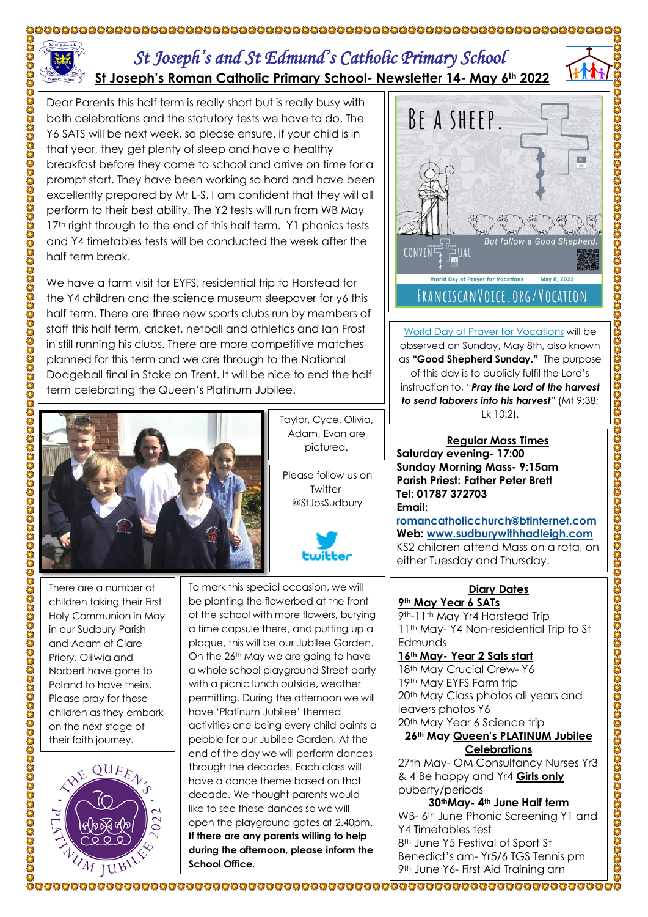